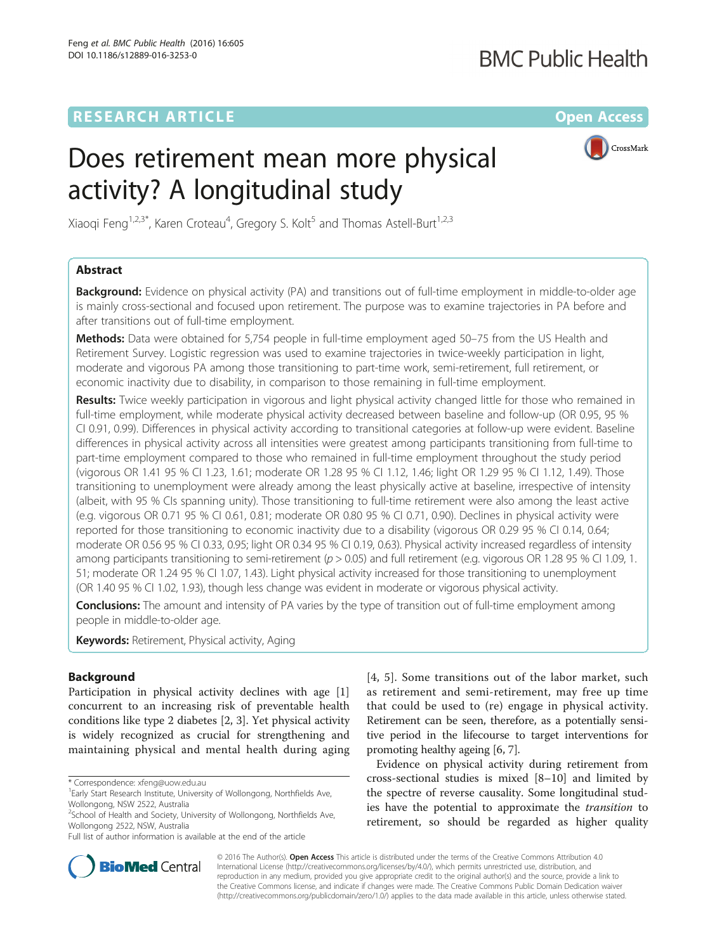## **RESEARCH ARTICLE External Structure Community Community Community Community Community Community Community Community**

## **BMC Public Health**

# Does retirement mean more physical activity? A longitudinal study



Xiaoqi Feng $^{1,2,3^*}$ , Karen Croteau $^4$ , Gregory S. Kolt $^5$  and Thomas Astell-Burt $^{1,2,3}$ 

## Abstract

**Background:** Evidence on physical activity (PA) and transitions out of full-time employment in middle-to-older age is mainly cross-sectional and focused upon retirement. The purpose was to examine trajectories in PA before and after transitions out of full-time employment.

**Methods:** Data were obtained for 5,754 people in full-time employment aged 50–75 from the US Health and Retirement Survey. Logistic regression was used to examine trajectories in twice-weekly participation in light, moderate and vigorous PA among those transitioning to part-time work, semi-retirement, full retirement, or economic inactivity due to disability, in comparison to those remaining in full-time employment.

Results: Twice weekly participation in vigorous and light physical activity changed little for those who remained in full-time employment, while moderate physical activity decreased between baseline and follow-up (OR 0.95, 95 % CI 0.91, 0.99). Differences in physical activity according to transitional categories at follow-up were evident. Baseline differences in physical activity across all intensities were greatest among participants transitioning from full-time to part-time employment compared to those who remained in full-time employment throughout the study period (vigorous OR 1.41 95 % CI 1.23, 1.61; moderate OR 1.28 95 % CI 1.12, 1.46; light OR 1.29 95 % CI 1.12, 1.49). Those transitioning to unemployment were already among the least physically active at baseline, irrespective of intensity (albeit, with 95 % CIs spanning unity). Those transitioning to full-time retirement were also among the least active (e.g. vigorous OR 0.71 95 % CI 0.61, 0.81; moderate OR 0.80 95 % CI 0.71, 0.90). Declines in physical activity were reported for those transitioning to economic inactivity due to a disability (vigorous OR 0.29 95 % CI 0.14, 0.64; moderate OR 0.56 95 % CI 0.33, 0.95; light OR 0.34 95 % CI 0.19, 0.63). Physical activity increased regardless of intensity among participants transitioning to semi-retirement ( $p > 0.05$ ) and full retirement (e.g. vigorous OR 1.28 95 % CI 1.09, 1. 51; moderate OR 1.24 95 % CI 1.07, 1.43). Light physical activity increased for those transitioning to unemployment (OR 1.40 95 % CI 1.02, 1.93), though less change was evident in moderate or vigorous physical activity.

**Conclusions:** The amount and intensity of PA varies by the type of transition out of full-time employment among people in middle-to-older age.

**Keywords:** Retirement, Physical activity, Aging

## Background

Participation in physical activity declines with age [\[1](#page-6-0)] concurrent to an increasing risk of preventable health conditions like type 2 diabetes [\[2](#page-6-0), [3](#page-6-0)]. Yet physical activity is widely recognized as crucial for strengthening and maintaining physical and mental health during aging

Full list of author information is available at the end of the article

[[4](#page-6-0), [5](#page-6-0)]. Some transitions out of the labor market, such as retirement and semi-retirement, may free up time that could be used to (re) engage in physical activity. Retirement can be seen, therefore, as a potentially sensitive period in the lifecourse to target interventions for promoting healthy ageing [[6](#page-6-0), [7](#page-6-0)].

Evidence on physical activity during retirement from cross-sectional studies is mixed [\[8](#page-6-0)–[10\]](#page-6-0) and limited by the spectre of reverse causality. Some longitudinal studies have the potential to approximate the transition to retirement, so should be regarded as higher quality



© 2016 The Author(s). Open Access This article is distributed under the terms of the Creative Commons Attribution 4.0 International License [\(http://creativecommons.org/licenses/by/4.0/](http://creativecommons.org/licenses/by/4.0/)), which permits unrestricted use, distribution, and reproduction in any medium, provided you give appropriate credit to the original author(s) and the source, provide a link to the Creative Commons license, and indicate if changes were made. The Creative Commons Public Domain Dedication waiver [\(http://creativecommons.org/publicdomain/zero/1.0/](http://creativecommons.org/publicdomain/zero/1.0/)) applies to the data made available in this article, unless otherwise stated.

<sup>\*</sup> Correspondence: [xfeng@uow.edu.au](mailto:xfeng@uow.edu.au) <sup>1</sup>

<sup>&</sup>lt;sup>1</sup> Early Start Research Institute, University of Wollongong, Northfields Ave, Wollongong, NSW 2522, Australia

<sup>&</sup>lt;sup>2</sup>School of Health and Society, University of Wollongong, Northfields Ave, Wollongong 2522, NSW, Australia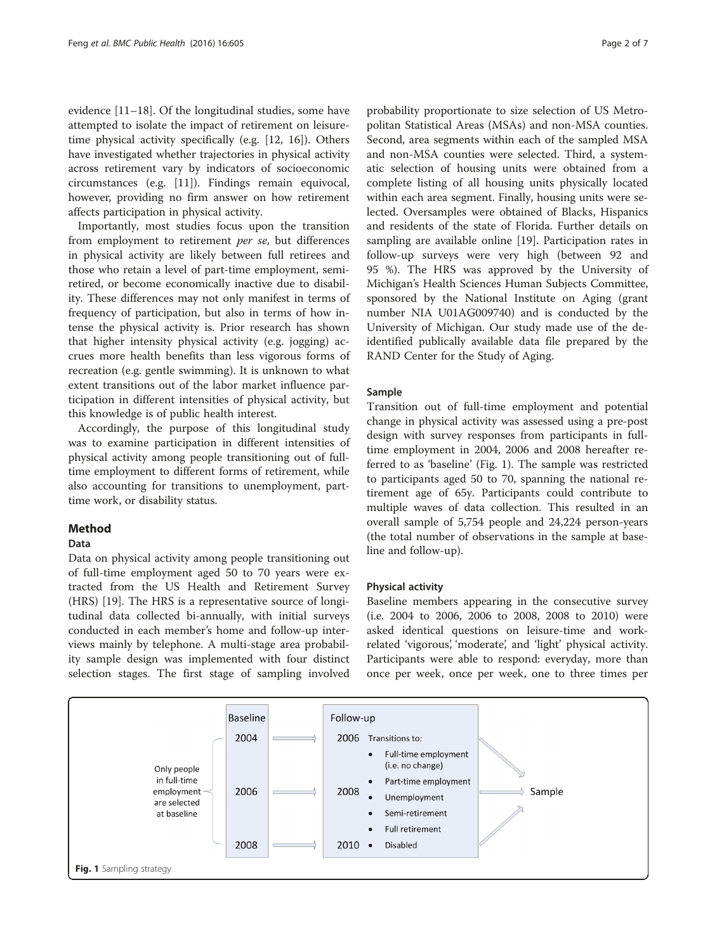evidence [\[11](#page-6-0)–[18\]](#page-6-0). Of the longitudinal studies, some have attempted to isolate the impact of retirement on leisuretime physical activity specifically (e.g. [\[12](#page-6-0), [16\]](#page-6-0)). Others have investigated whether trajectories in physical activity across retirement vary by indicators of socioeconomic circumstances (e.g. [[11\]](#page-6-0)). Findings remain equivocal, however, providing no firm answer on how retirement affects participation in physical activity.

Importantly, most studies focus upon the transition from employment to retirement per se, but differences in physical activity are likely between full retirees and those who retain a level of part-time employment, semiretired, or become economically inactive due to disability. These differences may not only manifest in terms of frequency of participation, but also in terms of how intense the physical activity is. Prior research has shown that higher intensity physical activity (e.g. jogging) accrues more health benefits than less vigorous forms of recreation (e.g. gentle swimming). It is unknown to what extent transitions out of the labor market influence participation in different intensities of physical activity, but this knowledge is of public health interest.

Accordingly, the purpose of this longitudinal study was to examine participation in different intensities of physical activity among people transitioning out of fulltime employment to different forms of retirement, while also accounting for transitions to unemployment, parttime work, or disability status.

## Method

## Data

Data on physical activity among people transitioning out of full-time employment aged 50 to 70 years were extracted from the US Health and Retirement Survey (HRS) [\[19\]](#page-6-0). The HRS is a representative source of longitudinal data collected bi-annually, with initial surveys conducted in each member's home and follow-up interviews mainly by telephone. A multi-stage area probability sample design was implemented with four distinct selection stages. The first stage of sampling involved

probability proportionate to size selection of US Metropolitan Statistical Areas (MSAs) and non-MSA counties. Second, area segments within each of the sampled MSA and non-MSA counties were selected. Third, a systematic selection of housing units were obtained from a complete listing of all housing units physically located within each area segment. Finally, housing units were selected. Oversamples were obtained of Blacks, Hispanics and residents of the state of Florida. Further details on sampling are available online [[19](#page-6-0)]. Participation rates in follow-up surveys were very high (between 92 and 95 %). The HRS was approved by the University of Michigan's Health Sciences Human Subjects Committee, sponsored by the National Institute on Aging (grant number NIA U01AG009740) and is conducted by the University of Michigan. Our study made use of the deidentified publically available data file prepared by the RAND Center for the Study of Aging.

## Sample

Transition out of full-time employment and potential change in physical activity was assessed using a pre-post design with survey responses from participants in fulltime employment in 2004, 2006 and 2008 hereafter referred to as 'baseline' (Fig. 1). The sample was restricted to participants aged 50 to 70, spanning the national retirement age of 65y. Participants could contribute to multiple waves of data collection. This resulted in an overall sample of 5,754 people and 24,224 person-years (the total number of observations in the sample at baseline and follow-up).

## Physical activity

Baseline members appearing in the consecutive survey (i.e. 2004 to 2006, 2006 to 2008, 2008 to 2010) were asked identical questions on leisure-time and workrelated 'vigorous', 'moderate', and 'light' physical activity. Participants were able to respond: everyday, more than once per week, once per week, one to three times per

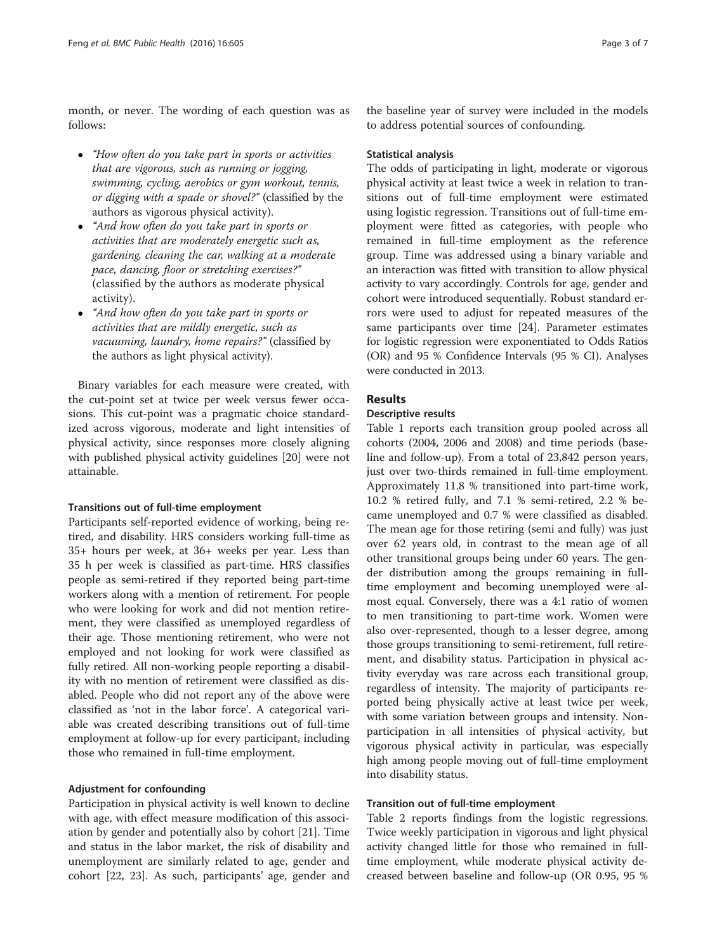month, or never. The wording of each question was as follows:

- "How often do you take part in sports or activities that are vigorous, such as running or jogging, swimming, cycling, aerobics or gym workout, tennis, or digging with a spade or shovel?" (classified by the authors as vigorous physical activity).
- "And how often do you take part in sports or activities that are moderately energetic such as, gardening, cleaning the car, walking at a moderate pace, dancing, floor or stretching exercises?" (classified by the authors as moderate physical activity).
- "And how often do you take part in sports or activities that are mildly energetic, such as vacuuming, laundry, home repairs?" (classified by the authors as light physical activity).

Binary variables for each measure were created, with the cut-point set at twice per week versus fewer occasions. This cut-point was a pragmatic choice standardized across vigorous, moderate and light intensities of physical activity, since responses more closely aligning with published physical activity guidelines [\[20](#page-6-0)] were not attainable.

#### Transitions out of full-time employment

Participants self-reported evidence of working, being retired, and disability. HRS considers working full-time as 35+ hours per week, at 36+ weeks per year. Less than 35 h per week is classified as part-time. HRS classifies people as semi-retired if they reported being part-time workers along with a mention of retirement. For people who were looking for work and did not mention retirement, they were classified as unemployed regardless of their age. Those mentioning retirement, who were not employed and not looking for work were classified as fully retired. All non-working people reporting a disability with no mention of retirement were classified as disabled. People who did not report any of the above were classified as 'not in the labor force'. A categorical variable was created describing transitions out of full-time employment at follow-up for every participant, including those who remained in full-time employment.

#### Adjustment for confounding

Participation in physical activity is well known to decline with age, with effect measure modification of this association by gender and potentially also by cohort [[21\]](#page-6-0). Time and status in the labor market, the risk of disability and unemployment are similarly related to age, gender and cohort [\[22](#page-6-0), [23\]](#page-6-0). As such, participants' age, gender and the baseline year of survey were included in the models to address potential sources of confounding.

#### Statistical analysis

The odds of participating in light, moderate or vigorous physical activity at least twice a week in relation to transitions out of full-time employment were estimated using logistic regression. Transitions out of full-time employment were fitted as categories, with people who remained in full-time employment as the reference group. Time was addressed using a binary variable and an interaction was fitted with transition to allow physical activity to vary accordingly. Controls for age, gender and cohort were introduced sequentially. Robust standard errors were used to adjust for repeated measures of the same participants over time [\[24](#page-6-0)]. Parameter estimates for logistic regression were exponentiated to Odds Ratios (OR) and 95 % Confidence Intervals (95 % CI). Analyses were conducted in 2013.

## Results

## Descriptive results

Table [1](#page-3-0) reports each transition group pooled across all cohorts (2004, 2006 and 2008) and time periods (baseline and follow-up). From a total of 23,842 person years, just over two-thirds remained in full-time employment. Approximately 11.8 % transitioned into part-time work, 10.2 % retired fully, and 7.1 % semi-retired, 2.2 % became unemployed and 0.7 % were classified as disabled. The mean age for those retiring (semi and fully) was just over 62 years old, in contrast to the mean age of all other transitional groups being under 60 years. The gender distribution among the groups remaining in fulltime employment and becoming unemployed were almost equal. Conversely, there was a 4:1 ratio of women to men transitioning to part-time work. Women were also over-represented, though to a lesser degree, among those groups transitioning to semi-retirement, full retirement, and disability status. Participation in physical activity everyday was rare across each transitional group, regardless of intensity. The majority of participants reported being physically active at least twice per week, with some variation between groups and intensity. Nonparticipation in all intensities of physical activity, but vigorous physical activity in particular, was especially high among people moving out of full-time employment into disability status.

#### Transition out of full-time employment

Table [2](#page-4-0) reports findings from the logistic regressions. Twice weekly participation in vigorous and light physical activity changed little for those who remained in fulltime employment, while moderate physical activity decreased between baseline and follow-up (OR 0.95, 95 %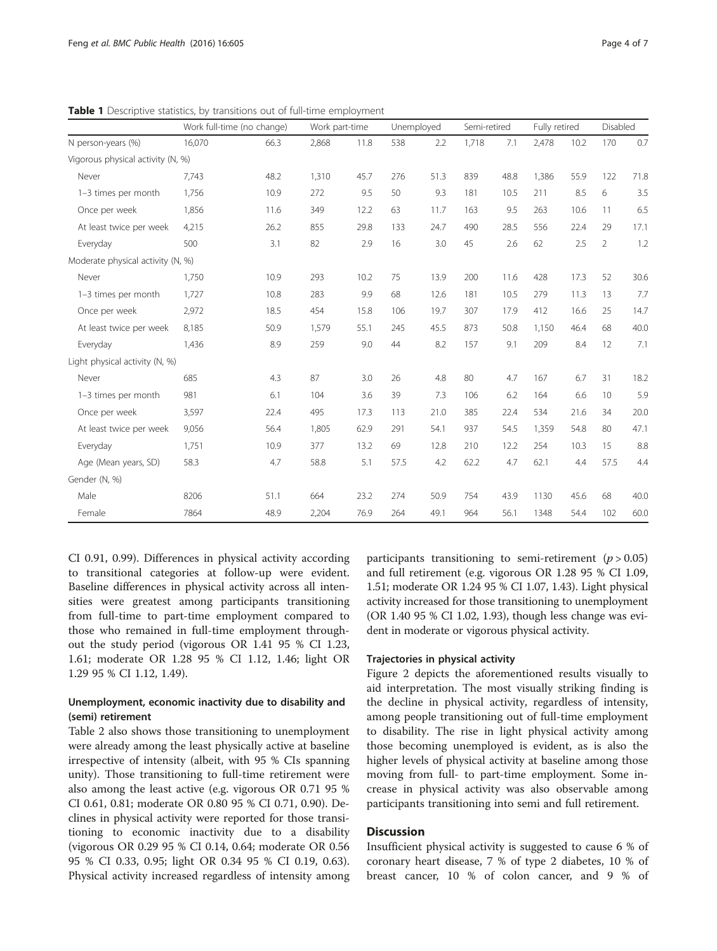|                                   |                                                      |                                            |                |                                |            |                           |              |                             |                | Disabled                      |            |
|-----------------------------------|------------------------------------------------------|--------------------------------------------|----------------|--------------------------------|------------|---------------------------|--------------|-----------------------------|----------------|-------------------------------|------------|
|                                   |                                                      |                                            |                |                                |            |                           |              |                             |                |                               | 0.7        |
|                                   |                                                      |                                            |                |                                |            |                           |              |                             |                |                               |            |
|                                   |                                                      |                                            |                |                                |            |                           |              |                             |                |                               |            |
|                                   |                                                      |                                            |                |                                |            |                           |              |                             |                |                               | 71.8       |
| 1,756                             | 10.9                                                 | 272                                        | 9.5            | 50                             | 9.3        | 181                       | 10.5         | 211                         | 8.5            | 6                             | 3.5        |
| 1,856                             | 11.6                                                 | 349                                        | 12.2           | 63                             | 11.7       | 163                       | 9.5          | 263                         | 10.6           | 11                            | 6.5        |
| 4,215                             | 26.2                                                 | 855                                        | 29.8           | 133                            | 24.7       | 490                       | 28.5         | 556                         | 22.4           | 29                            | 17.1       |
| 500                               | 3.1                                                  | 82                                         | 2.9            | 16                             | 3.0        | 45                        | 2.6          | 62                          | 2.5            | 2                             | 1.2        |
| Moderate physical activity (N, %) |                                                      |                                            |                |                                |            |                           |              |                             |                |                               |            |
| 1,750                             | 10.9                                                 | 293                                        | 10.2           | 75                             | 13.9       | 200                       | 11.6         | 428                         | 17.3           | 52                            | 30.6       |
| 1,727                             | 10.8                                                 | 283                                        | 9.9            | 68                             | 12.6       | 181                       | 10.5         | 279                         | 11.3           | 13                            | 7.7        |
| 2,972                             | 18.5                                                 | 454                                        | 15.8           | 106                            | 19.7       | 307                       | 17.9         | 412                         | 16.6           | 25                            | 14.7       |
| 8,185                             | 50.9                                                 | 1,579                                      | 55.1           | 245                            | 45.5       | 873                       | 50.8         | 1,150                       | 46.4           | 68                            | 40.0       |
| 1,436                             | 8.9                                                  | 259                                        | 9.0            | 44                             | 8.2        | 157                       | 9.1          | 209                         | 8.4            | 12                            | 7.1        |
| Light physical activity (N, %)    |                                                      |                                            |                |                                |            |                           |              |                             |                |                               |            |
| 685                               | 4.3                                                  | 87                                         | 3.0            | 26                             | 4.8        | 80                        | 4.7          | 167                         | 6.7            | 31                            | 18.2       |
| 981                               | 6.1                                                  | 104                                        | 3.6            | 39                             | 7.3        | 106                       | 6.2          | 164                         | 6.6            | 10                            | 5.9        |
| 3,597                             | 22.4                                                 | 495                                        | 17.3           | 113                            | 21.0       | 385                       | 22.4         | 534                         | 21.6           | 34                            | 20.0       |
| 9,056                             | 56.4                                                 | 1,805                                      | 62.9           | 291                            | 54.1       | 937                       | 54.5         | 1,359                       | 54.8           | 80                            | 47.1       |
| 1,751                             | 10.9                                                 | 377                                        | 13.2           | 69                             | 12.8       | 210                       | 12.2         | 254                         | 10.3           | 15                            | 8.8        |
| 58.3                              | 4.7                                                  | 58.8                                       | 5.1            | 57.5                           | 4.2        | 62.2                      | 4.7          | 62.1                        | 4.4            | 57.5                          | 4.4        |
|                                   |                                                      |                                            |                |                                |            |                           |              |                             |                |                               |            |
| 8206                              | 51.1                                                 | 664                                        | 23.2           | 274                            | 50.9       | 754                       | 43.9         | 1130                        | 45.6           | 68                            | 40.0       |
| 7864                              | 48.9                                                 | 2,204                                      | 76.9           | 264                            | 49.1       | 964                       | 56.1         | 1348                        | 54.4           | 102                           | 60.0       |
|                                   | 16,070<br>Vigorous physical activity (N, %)<br>7,743 | Work full-time (no change)<br>66.3<br>48.2 | 2,868<br>1,310 | Work part-time<br>11.8<br>45.7 | 538<br>276 | Unemployed<br>2.2<br>51.3 | 1,718<br>839 | Semi-retired<br>7.1<br>48.8 | 2,478<br>1,386 | Fully retired<br>10.2<br>55.9 | 170<br>122 |

<span id="page-3-0"></span>Table 1 Descriptive statistics, by transitions out of full-time employment

CI 0.91, 0.99). Differences in physical activity according to transitional categories at follow-up were evident. Baseline differences in physical activity across all intensities were greatest among participants transitioning from full-time to part-time employment compared to those who remained in full-time employment throughout the study period (vigorous OR 1.41 95 % CI 1.23, 1.61; moderate OR 1.28 95 % CI 1.12, 1.46; light OR 1.29 95 % CI 1.12, 1.49).

## Unemployment, economic inactivity due to disability and (semi) retirement

Table [2](#page-4-0) also shows those transitioning to unemployment were already among the least physically active at baseline irrespective of intensity (albeit, with 95 % CIs spanning unity). Those transitioning to full-time retirement were also among the least active (e.g. vigorous OR 0.71 95 % CI 0.61, 0.81; moderate OR 0.80 95 % CI 0.71, 0.90). Declines in physical activity were reported for those transitioning to economic inactivity due to a disability (vigorous OR 0.29 95 % CI 0.14, 0.64; moderate OR 0.56 95 % CI 0.33, 0.95; light OR 0.34 95 % CI 0.19, 0.63). Physical activity increased regardless of intensity among

participants transitioning to semi-retirement ( $p > 0.05$ ) and full retirement (e.g. vigorous OR 1.28 95 % CI 1.09, 1.51; moderate OR 1.24 95 % CI 1.07, 1.43). Light physical activity increased for those transitioning to unemployment (OR 1.40 95 % CI 1.02, 1.93), though less change was evident in moderate or vigorous physical activity.

## Trajectories in physical activity

Figure [2](#page-5-0) depicts the aforementioned results visually to aid interpretation. The most visually striking finding is the decline in physical activity, regardless of intensity, among people transitioning out of full-time employment to disability. The rise in light physical activity among those becoming unemployed is evident, as is also the higher levels of physical activity at baseline among those moving from full- to part-time employment. Some increase in physical activity was also observable among participants transitioning into semi and full retirement.

## **Discussion**

Insufficient physical activity is suggested to cause 6 % of coronary heart disease, 7 % of type 2 diabetes, 10 % of breast cancer, 10 % of colon cancer, and 9 % of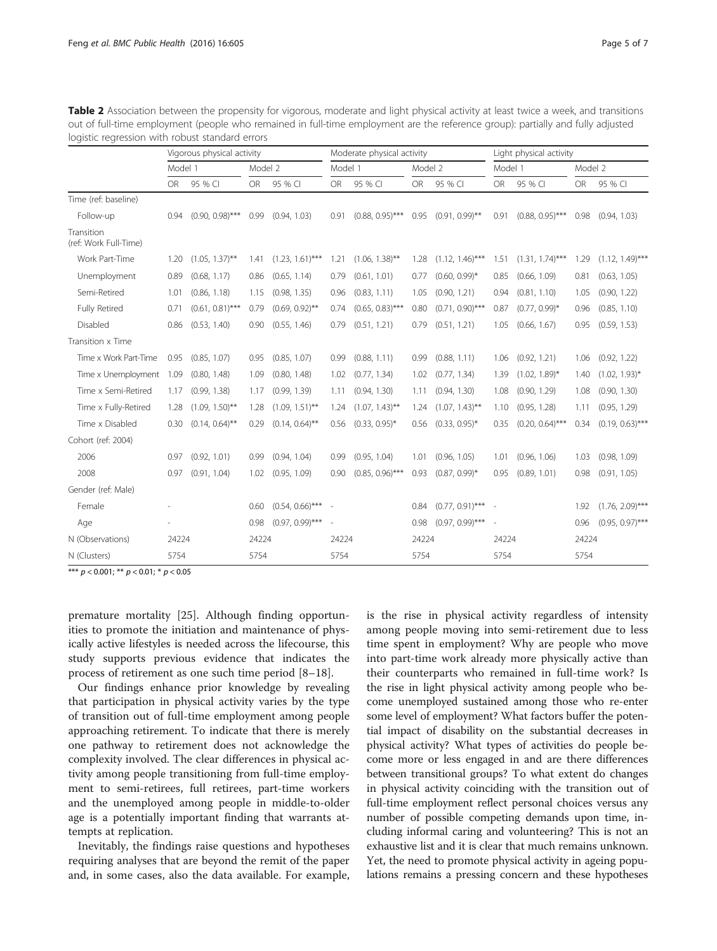|                                     | Vigorous physical activity |                    |           |                    |           | Moderate physical activity |           | Light physical activity |           |                    |           |                    |
|-------------------------------------|----------------------------|--------------------|-----------|--------------------|-----------|----------------------------|-----------|-------------------------|-----------|--------------------|-----------|--------------------|
|                                     | Model 1                    |                    | Model 2   |                    | Model 1   |                            | Model 2   |                         | Model 1   |                    | Model 2   |                    |
|                                     | <b>OR</b>                  | 95 % CI            | <b>OR</b> | 95 % CI            | <b>OR</b> | 95 % CI                    | <b>OR</b> | 95 % CI                 | <b>OR</b> | 95 % CI            | <b>OR</b> | 95 % CI            |
| Time (ref: baseline)                |                            |                    |           |                    |           |                            |           |                         |           |                    |           |                    |
| Follow-up                           | 0.94                       | $(0.90, 0.98)$ *** | 0.99      | (0.94, 1.03)       | 0.91      | $(0.88, 0.95)$ ***         | 0.95      | $(0.91, 0.99)$ **       | 0.91      | $(0.88, 0.95)$ *** | 0.98      | (0.94, 1.03)       |
| Transition<br>(ref: Work Full-Time) |                            |                    |           |                    |           |                            |           |                         |           |                    |           |                    |
| Work Part-Time                      | 1.20                       | $(1.05, 1.37)$ **  | 1.41      | $(1.23, 1.61)$ *** | 1.21      | $(1.06, 1.38)$ **          | 1.28      | $(1.12, 1.46)$ ***      | 1.51      | $(1.31, 1.74)$ *** | 1.29      | $(1.12, 1.49)$ *** |
| Unemployment                        | 0.89                       | (0.68, 1.17)       | 0.86      | (0.65, 1.14)       | 0.79      | (0.61, 1.01)               | 0.77      | $(0.60, 0.99)^*$        | 0.85      | (0.66, 1.09)       | 0.81      | (0.63, 1.05)       |
| Semi-Retired                        | 1.01                       | (0.86, 1.18)       | 1.15      | (0.98, 1.35)       | 0.96      | (0.83, 1.11)               | 1.05      | (0.90, 1.21)            | 0.94      | (0.81, 1.10)       | 1.05      | (0.90, 1.22)       |
| <b>Fully Retired</b>                | 0.71                       | $(0.61, 0.81)$ *** | 0.79      | $(0.69, 0.92)$ **  | 0.74      | $(0.65, 0.83)$ ***         | 0.80      | $(0.71, 0.90)$ ***      | 0.87      | $(0.77, 0.99)^*$   | 0.96      | (0.85, 1.10)       |
| Disabled                            | 0.86                       | (0.53, 1.40)       | 0.90      | (0.55, 1.46)       | 0.79      | (0.51, 1.21)               | 0.79      | (0.51, 1.21)            | 1.05      | (0.66, 1.67)       | 0.95      | (0.59, 1.53)       |
| Transition x Time                   |                            |                    |           |                    |           |                            |           |                         |           |                    |           |                    |
| Time x Work Part-Time               | 0.95                       | (0.85, 1.07)       | 0.95      | (0.85, 1.07)       | 0.99      | (0.88, 1.11)               | 0.99      | (0.88, 1.11)            | 1.06      | (0.92, 1.21)       | 1.06      | (0.92, 1.22)       |
| Time x Unemployment                 | 1.09                       | (0.80, 1.48)       | 1.09      | (0.80, 1.48)       | 1.02      | (0.77, 1.34)               | 1.02      | (0.77, 1.34)            | 1.39      | $(1.02, 1.89)^*$   | 1.40      | $(1.02, 1.93)^*$   |
| Time x Semi-Retired                 | 1.17                       | (0.99, 1.38)       | 1.17      | (0.99, 1.39)       | 1.11      | (0.94, 1.30)               | 1.11      | (0.94, 1.30)            | 1.08      | (0.90, 1.29)       | 1.08      | (0.90, 1.30)       |
| Time x Fully-Retired                | 1.28                       | $(1.09, 1.50)$ **  | 1.28      | $(1.09, 1.51)$ **  | 1.24      | $(1.07, 1.43)$ **          | 1.24      | $(1.07, 1.43)$ **       | 1.10      | (0.95, 1.28)       | 1.11      | (0.95, 1.29)       |
| Time x Disabled                     | 0.30                       | $(0.14, 0.64)$ **  | 0.29      | $(0.14, 0.64)$ **  | 0.56      | $(0.33, 0.95)^*$           | 0.56      | $(0.33, 0.95)^*$        | 0.35      | $(0.20, 0.64)$ *** | 0.34      | $(0.19, 0.63)$ *** |
| Cohort (ref: 2004)                  |                            |                    |           |                    |           |                            |           |                         |           |                    |           |                    |
| 2006                                | 0.97                       | (0.92, 1.01)       | 0.99      | (0.94, 1.04)       | 0.99      | (0.95, 1.04)               | 1.01      | (0.96, 1.05)            | 1.01      | (0.96, 1.06)       | 1.03      | (0.98, 1.09)       |
| 2008                                | 0.97                       | (0.91, 1.04)       | 1.02      | (0.95, 1.09)       | 0.90      | $(0.85, 0.96)$ ***         | 0.93      | $(0.87, 0.99)^*$        | 0.95      | (0.89, 1.01)       | 0.98      | (0.91, 1.05)       |
| Gender (ref: Male)                  |                            |                    |           |                    |           |                            |           |                         |           |                    |           |                    |
| Female                              |                            |                    | 0.60      | $(0.54, 0.66)$ *** |           |                            | 0.84      | $(0.77, 0.91)$ ***      |           |                    | 1.92      | $(1.76, 2.09)$ *** |
| Age                                 |                            |                    | 0.98      | $(0.97, 0.99)$ *** |           |                            | 0.98      | $(0.97, 0.99)$ ***      |           |                    | 0.96      | $(0.95, 0.97)$ *** |
| N (Observations)                    | 24224<br>24224             |                    |           | 24224<br>24224     |           |                            |           |                         | 24224     |                    | 24224     |                    |
| N (Clusters)                        | 5754<br>5754               |                    |           | 5754               |           | 5754                       |           | 5754                    |           | 5754               |           |                    |

<span id="page-4-0"></span>Table 2 Association between the propensity for vigorous, moderate and light physical activity at least twice a week, and transitions out of full-time employment (people who remained in full-time employment are the reference group): partially and fully adjusted logistic regression with robust standard errors

\*\*\*  $p < 0.001$ ; \*\*  $p < 0.01$ ; \*  $p < 0.05$ 

premature mortality [\[25](#page-6-0)]. Although finding opportunities to promote the initiation and maintenance of physically active lifestyles is needed across the lifecourse, this study supports previous evidence that indicates the process of retirement as one such time period [\[8](#page-6-0)–[18\]](#page-6-0).

Our findings enhance prior knowledge by revealing that participation in physical activity varies by the type of transition out of full-time employment among people approaching retirement. To indicate that there is merely one pathway to retirement does not acknowledge the complexity involved. The clear differences in physical activity among people transitioning from full-time employment to semi-retirees, full retirees, part-time workers and the unemployed among people in middle-to-older age is a potentially important finding that warrants attempts at replication.

Inevitably, the findings raise questions and hypotheses requiring analyses that are beyond the remit of the paper and, in some cases, also the data available. For example, is the rise in physical activity regardless of intensity among people moving into semi-retirement due to less time spent in employment? Why are people who move into part-time work already more physically active than their counterparts who remained in full-time work? Is the rise in light physical activity among people who become unemployed sustained among those who re-enter some level of employment? What factors buffer the potential impact of disability on the substantial decreases in physical activity? What types of activities do people become more or less engaged in and are there differences between transitional groups? To what extent do changes in physical activity coinciding with the transition out of full-time employment reflect personal choices versus any number of possible competing demands upon time, including informal caring and volunteering? This is not an exhaustive list and it is clear that much remains unknown. Yet, the need to promote physical activity in ageing populations remains a pressing concern and these hypotheses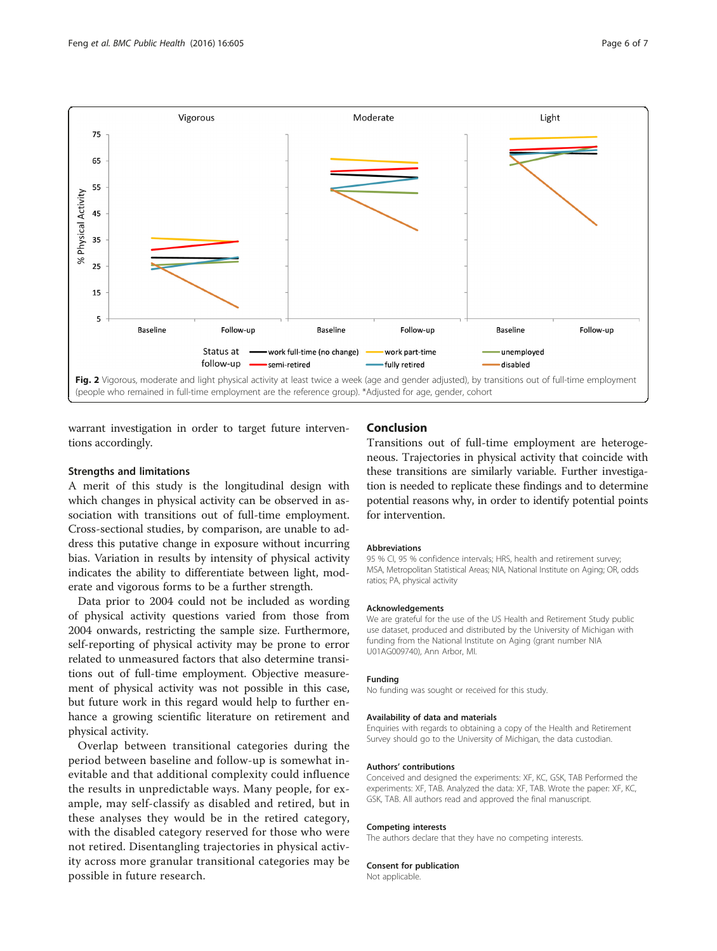<span id="page-5-0"></span>

warrant investigation in order to target future interventions accordingly.

#### Strengths and limitations

A merit of this study is the longitudinal design with which changes in physical activity can be observed in association with transitions out of full-time employment. Cross-sectional studies, by comparison, are unable to address this putative change in exposure without incurring bias. Variation in results by intensity of physical activity indicates the ability to differentiate between light, moderate and vigorous forms to be a further strength.

Data prior to 2004 could not be included as wording of physical activity questions varied from those from 2004 onwards, restricting the sample size. Furthermore, self-reporting of physical activity may be prone to error related to unmeasured factors that also determine transitions out of full-time employment. Objective measurement of physical activity was not possible in this case, but future work in this regard would help to further enhance a growing scientific literature on retirement and physical activity.

Overlap between transitional categories during the period between baseline and follow-up is somewhat inevitable and that additional complexity could influence the results in unpredictable ways. Many people, for example, may self-classify as disabled and retired, but in these analyses they would be in the retired category, with the disabled category reserved for those who were not retired. Disentangling trajectories in physical activity across more granular transitional categories may be possible in future research.

## Conclusion

Transitions out of full-time employment are heterogeneous. Trajectories in physical activity that coincide with these transitions are similarly variable. Further investigation is needed to replicate these findings and to determine potential reasons why, in order to identify potential points for intervention.

#### Abbreviations

95 % CI, 95 % confidence intervals; HRS, health and retirement survey; MSA, Metropolitan Statistical Areas; NIA, National Institute on Aging; OR, odds ratios; PA, physical activity

#### Acknowledgements

We are grateful for the use of the US Health and Retirement Study public use dataset, produced and distributed by the University of Michigan with funding from the National Institute on Aging (grant number NIA U01AG009740), Ann Arbor, MI.

#### Funding

No funding was sought or received for this study.

### Availability of data and materials

Enquiries with regards to obtaining a copy of the Health and Retirement Survey should go to the University of Michigan, the data custodian.

#### Authors' contributions

Conceived and designed the experiments: XF, KC, GSK, TAB Performed the experiments: XF, TAB. Analyzed the data: XF, TAB. Wrote the paper: XF, KC, GSK, TAB. All authors read and approved the final manuscript.

#### Competing interests

The authors declare that they have no competing interests.

#### Consent for publication

Not applicable.